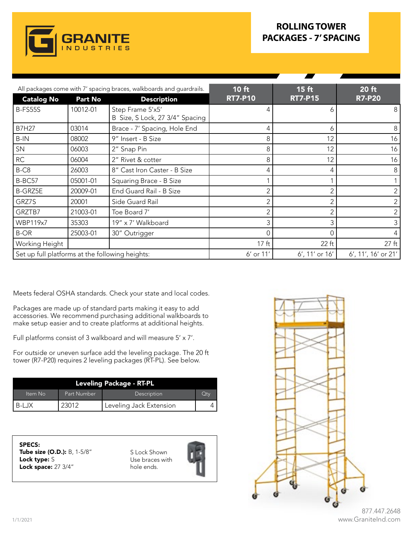

## **ROLLING TOWER PACKAGES - 7' SPACING**

|                                                 |                | All packages come with 7' spacing braces, walkboards and guardrails. | 10 ft            | $15$ ft           | 20 ft               |
|-------------------------------------------------|----------------|----------------------------------------------------------------------|------------------|-------------------|---------------------|
| <b>Catalog No</b>                               | <b>Part No</b> | <b>Description</b>                                                   | <b>RT7-P10</b>   | <b>RT7-P15</b>    | <b>R7-P20</b>       |
| <b>B-FS55S</b>                                  | 10012-01       | Step Frame 5'x5'<br>B Size, S Lock, 27 3/4" Spacing                  |                  | 6                 | 8                   |
| <b>B7H27</b>                                    | 03014          | Brace - 7' Spacing, Hole End                                         | 4                | 6                 | 8                   |
| B-IN                                            | 08002          | 9" Insert - B Size                                                   | 8                | 12                | 16                  |
| SN                                              | 06003          | 2" Snap Pin                                                          | 8                | 12                | 16                  |
| RC                                              | 06004          | 2" Rivet & cotter                                                    | 8                | 12                | 16                  |
| B-C8                                            | 26003          | 8" Cast Iron Caster - B Size                                         | 4                | 4                 | 8                   |
| B-BC57                                          | 05001-01       | Squaring Brace - B Size                                              |                  |                   |                     |
| <b>B-GRZ5E</b>                                  | 20009-01       | End Guard Rail - B Size                                              |                  |                   | $\overline{2}$      |
| GRZ7S                                           | 20001          | Side Guard Rail                                                      | ◠                |                   | $\overline{2}$      |
| GRZTB7                                          | 21003-01       | Toe Board 7'                                                         |                  |                   | $\overline{2}$      |
| <b>WBP119x7</b>                                 | 35303          | 19" x 7' Walkboard                                                   |                  |                   | $\mathfrak{Z}$      |
| <b>B-OR</b>                                     | 25003-01       | 30" Outrigger                                                        |                  | 0                 | 4                   |
| Working Height                                  |                |                                                                      | 17 <sub>ft</sub> | 22 ft             | $27$ ft             |
| Set up full platforms at the following heights: |                |                                                                      | 6' or 11'        | $6'$ , 11' or 16' | 6', 11', 16' or 21' |

Meets federal OSHA standards. Check your state and local codes.

Packages are made up of standard parts making it easy to add accessories. We recommend purchasing additional walkboards to make setup easier and to create platforms at additional heights.

Full platforms consist of 3 walkboard and will measure 5' x 7'.

For outside or uneven surface add the leveling package. The 20 ft tower (R7-P20) requires 2 leveling packages (RT-PL). See below.

| Leveling Package - RT-PL |             |                         |     |  |  |
|--------------------------|-------------|-------------------------|-----|--|--|
| Item No                  | Part Number | Description             | Qtv |  |  |
|                          |             | Leveling Jack Extension |     |  |  |

SPECS: Tube size (O.D.): B, 1-5/8" Lock type: S Lock space: 27 3/4"

S Lock Shown Use braces with hole ends.





877.447.2648 www.GraniteInd.com